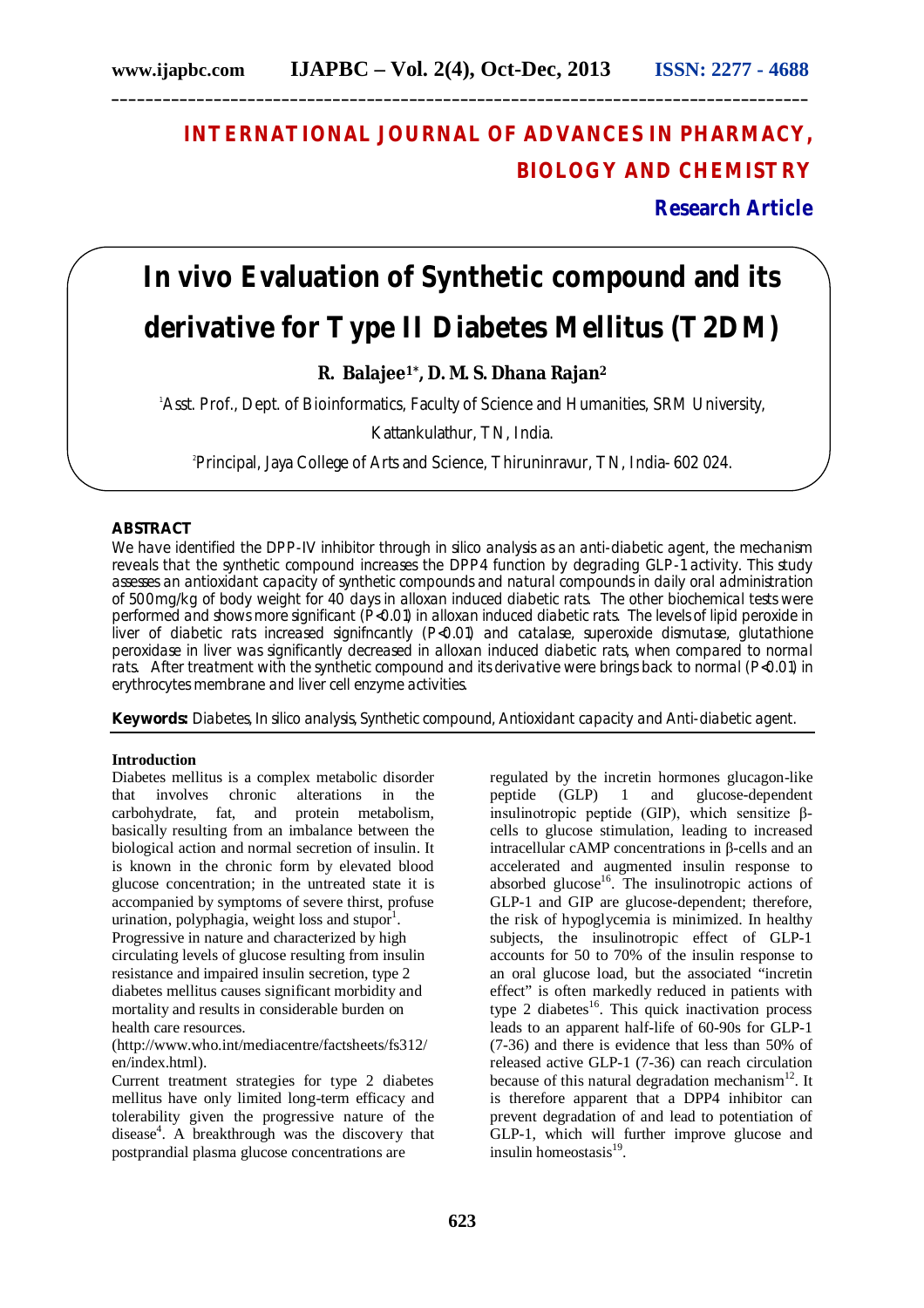# **INTERNATIONAL JOURNAL OF ADVANCES IN PHARMACY, BIOLOGY AND CHEMISTRY**

**Research Article**

# *In vivo* **Evaluation of Synthetic compound and its derivative for Type II Diabetes Mellitus (T2DM)**

**R. Balajee1\*, D. M. S. Dhana Rajan<sup>2</sup>**

<sup>1</sup>Asst. Prof., Dept. of Bioinformatics, Faculty of Science and Humanities, SRM University,

Kattankulathur, TN, India.

2 Principal, Jaya College of Arts and Science, Thiruninravur, TN, India- 602 024.

#### **ABSTRACT**

We have identified the DPP-IV inhibitor through *in silico* analysis as an anti-diabetic agent, the mechanism reveals that the synthetic compound increases the DPP4 function by degrading GLP-1 activity. This study assesses an antioxidant capacity of synthetic compounds and natural compounds in daily oral administration of 500mg/kg of body weight for 40 days in alloxan induced diabetic rats. The other biochemical tests were performed and shows more significant (P<0.01) in alloxan induced diabetic rats. The levels of lipid peroxide in liver of diabetic rats increased signifncantly (P<0.01) and catalase, superoxide dismutase, glutathione peroxidase in liver was significantly decreased in alloxan induced diabetic rats, when compared to normal rats. After treatment with the synthetic compound and its derivative were brings back to normal (P<0.01) in erythrocytes membrane and liver cell enzyme activities.

**Keywords:** Diabetes, In silico analysis, Synthetic compound, Antioxidant capacity and Anti-diabetic agent.

# **Introduction**

Diabetes mellitus is a complex metabolic disorder that involves chronic alterations in the carbohydrate. fat, and protein metabolism. carbohydrate, fat, and basically resulting from an imbalance between the biological action and normal secretion of insulin. It is known in the chronic form by elevated blood glucose concentration; in the untreated state it is accompanied by symptoms of severe thirst, profuse urination, polyphagia, weight loss and stupor $1$ . Progressive in nature and characterized by high circulating levels of glucose resulting from insulin resistance and impaired insulin secretion, type 2 diabetes mellitus causes significant morbidity and mortality and results in considerable burden on health care resources.

(http://www.who.int/mediacentre/factsheets/fs312/ en/index.html).

Current treatment strategies for type 2 diabetes mellitus have only limited long-term efficacy and tolerability given the progressive nature of the disease<sup>4</sup>. A breakthrough was the discovery that postprandial plasma glucose concentrations are

regulated by the incretin hormones glucagon-like peptide (GLP) 1 and glucose-dependent insulinotropic peptide (GIP), which sensitize βcells to glucose stimulation, leading to increased intracellular cAMP concentrations in β-cells and an accelerated and augmented insulin response to absorbed glucose<sup>16</sup>. The insulinotropic actions of GLP-1 and GIP are glucose-dependent; therefore, the risk of hypoglycemia is minimized. In healthy subjects, the insulinotropic effect of GLP-1 accounts for 50 to 70% of the insulin response to an oral glucose load, but the associated "incretin effect" is often markedly reduced in patients with type 2 diabetes<sup>16</sup>. This quick inactivation process leads to an apparent half-life of 60-90s for GLP-1 (7-36) and there is evidence that less than 50% of released active GLP-1 (7-36) can reach circulation because of this natural degradation mechanism $^{12}$ . It is therefore apparent that a DPP4 inhibitor can prevent degradation of and lead to potentiation of GLP-1, which will further improve glucose and insulin homeostasis<sup>19</sup>.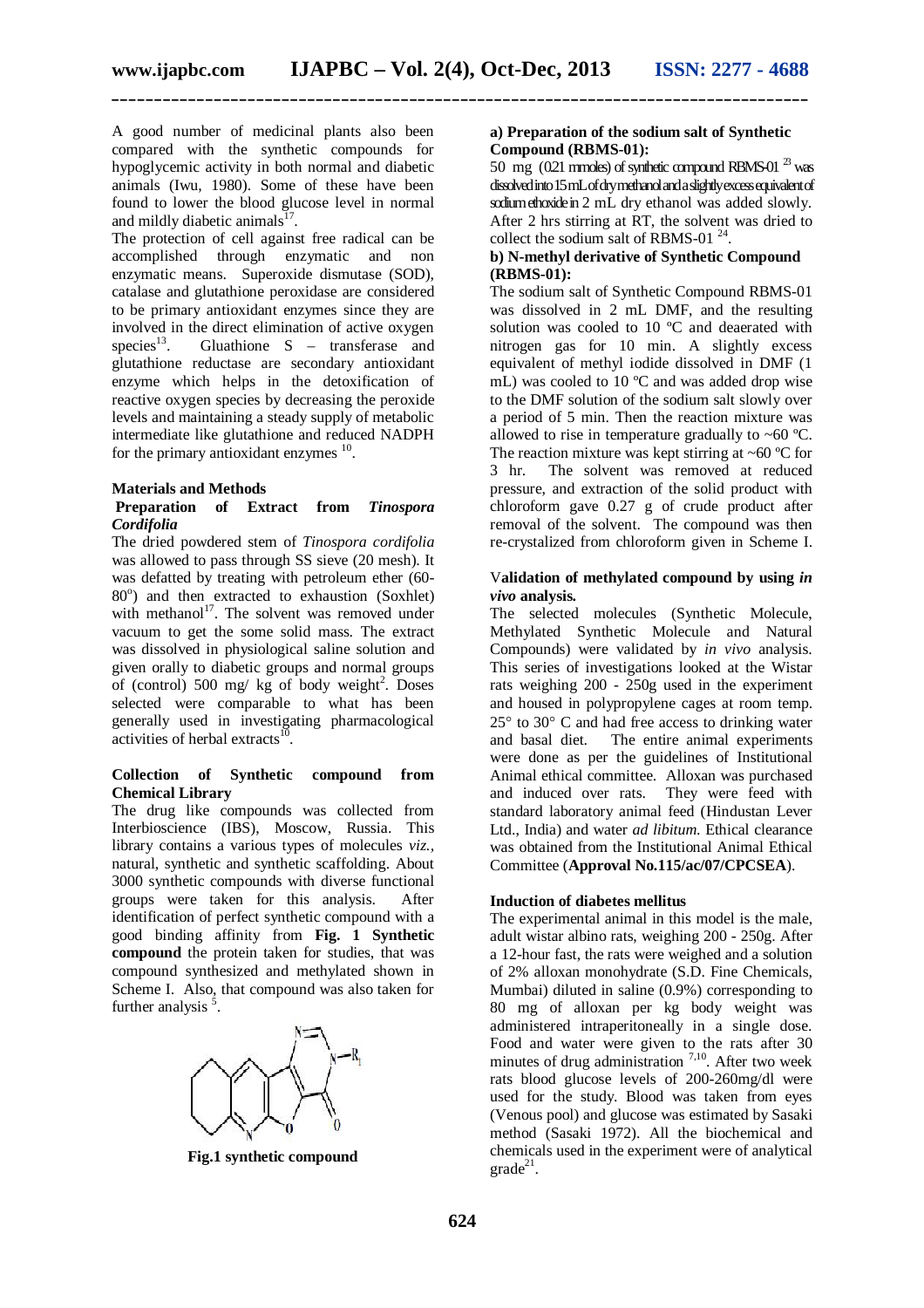A good number of medicinal plants also been compared with the synthetic compounds for hypoglycemic activity in both normal and diabetic animals (Iwu, 1980). Some of these have been found to lower the blood glucose level in normal and mildly diabetic animals $^{17}$ .

The protection of cell against free radical can be accomplished through enzymatic and non enzymatic means. Superoxide dismutase (SOD), catalase and glutathione peroxidase are considered to be primary antioxidant enzymes since they are involved in the direct elimination of active oxygen species<sup>13</sup>. Gluathione S – transferase and glutathione reductase are secondary antioxidant enzyme which helps in the detoxification of reactive oxygen species by decreasing the peroxide levels and maintaining a steady supply of metabolic intermediate like glutathione and reduced NADPH for the primary antioxidant enzymes <sup>10</sup>.

#### **Materials and Methods**

#### **Preparation of Extract from** *Tinospora Cordifolia*

The dried powdered stem of *Tinospora cordifolia*  was allowed to pass through SS sieve (20 mesh). It was defatted by treating with petroleum ether (60- 80°) and then extracted to exhaustion (Soxhlet) with methanol<sup>17</sup>. The solvent was removed under vacuum to get the some solid mass. The extract was dissolved in physiological saline solution and given orally to diabetic groups and normal groups of (control) 500 mg/ kg of body weight<sup>2</sup>. Doses selected were comparable to what has been generally used in investigating pharmacological activities of herbal extracts $^{10}$ .

#### **Collection of Synthetic compound from Chemical Library**

The drug like compounds was collected from Interbioscience (IBS), Moscow, Russia. This library contains a various types of molecules *viz.,* natural, synthetic and synthetic scaffolding. About 3000 synthetic compounds with diverse functional groups were taken for this analysis. After identification of perfect synthetic compound with a good binding affinity from **Fig. 1 Synthetic compound** the protein taken for studies, that was compound synthesized and methylated shown in Scheme I. Also, that compound was also taken for further analysis<sup>5</sup>.



**Fig.1 synthetic compound**

#### **a) Preparation of the sodium salt of Synthetic Compound (RBMS-01):**

50 mg  $(0.21 \text{ mm}$ des) of synthetic compound RBMS-01<sup>23</sup> was dissolved into 15 mL of dry methanol and a slightly excess equivalent of sodium ethoxide in 2 mL dry ethanol was added slowly. After 2 hrs stirring at RT, the solvent was dried to collect the sodium salt of RBMS-01 $^{24}$ .

#### **b) N-methyl derivative of Synthetic Compound (RBMS-01):**

The sodium salt of Synthetic Compound RBMS-01 was dissolved in 2 mL DMF, and the resulting solution was cooled to 10 °C and deaerated with nitrogen gas for 10 min. A slightly excess equivalent of methyl iodide dissolved in DMF (1 mL) was cooled to 10 ºC and was added drop wise to the DMF solution of the sodium salt slowly over a period of 5 min. Then the reaction mixture was allowed to rise in temperature gradually to  $~60$  °C. The reaction mixture was kept stirring at  $\sim 60$  °C for 3 hr. The solvent was removed at reduced pressure, and extraction of the solid product with chloroform gave 0.27 g of crude product after removal of the solvent. The compound was then re-crystalized from chloroform given in Scheme I.

#### V**alidation of methylated compound by using** *in vivo* **analysis.**

The selected molecules (Synthetic Molecule, Methylated Synthetic Molecule and Natural Compounds) were validated by *in vivo* analysis. This series of investigations looked at the Wistar rats weighing 200 - 250g used in the experiment and housed in polypropylene cages at room temp.  $25^{\circ}$  to  $30^{\circ}$  C and had free access to drinking water and basal diet. The entire animal experiments were done as per the guidelines of Institutional Animal ethical committee. Alloxan was purchased and induced over rats. They were feed with standard laboratory animal feed (Hindustan Lever Ltd., India) and water *ad libitum*. Ethical clearance was obtained from the Institutional Animal Ethical Committee (**Approval No.115/ac/07/CPCSEA**).

#### **Induction of diabetes mellitus**

The experimental animal in this model is the male, adult wistar albino rats, weighing 200 - 250g. After a 12-hour fast, the rats were weighed and a solution of 2% alloxan monohydrate (S.D. Fine Chemicals, Mumbai) diluted in saline (0.9%) corresponding to 80 mg of alloxan per kg body weight was administered intraperitoneally in a single dose. Food and water were given to the rats after 30 minutes of drug administration  $7,10$ . After two week rats blood glucose levels of 200-260mg/dl were used for the study. Blood was taken from eyes (Venous pool) and glucose was estimated by Sasaki method (Sasaki 1972). All the biochemical and chemicals used in the experiment were of analytical  $grade^{21}$ .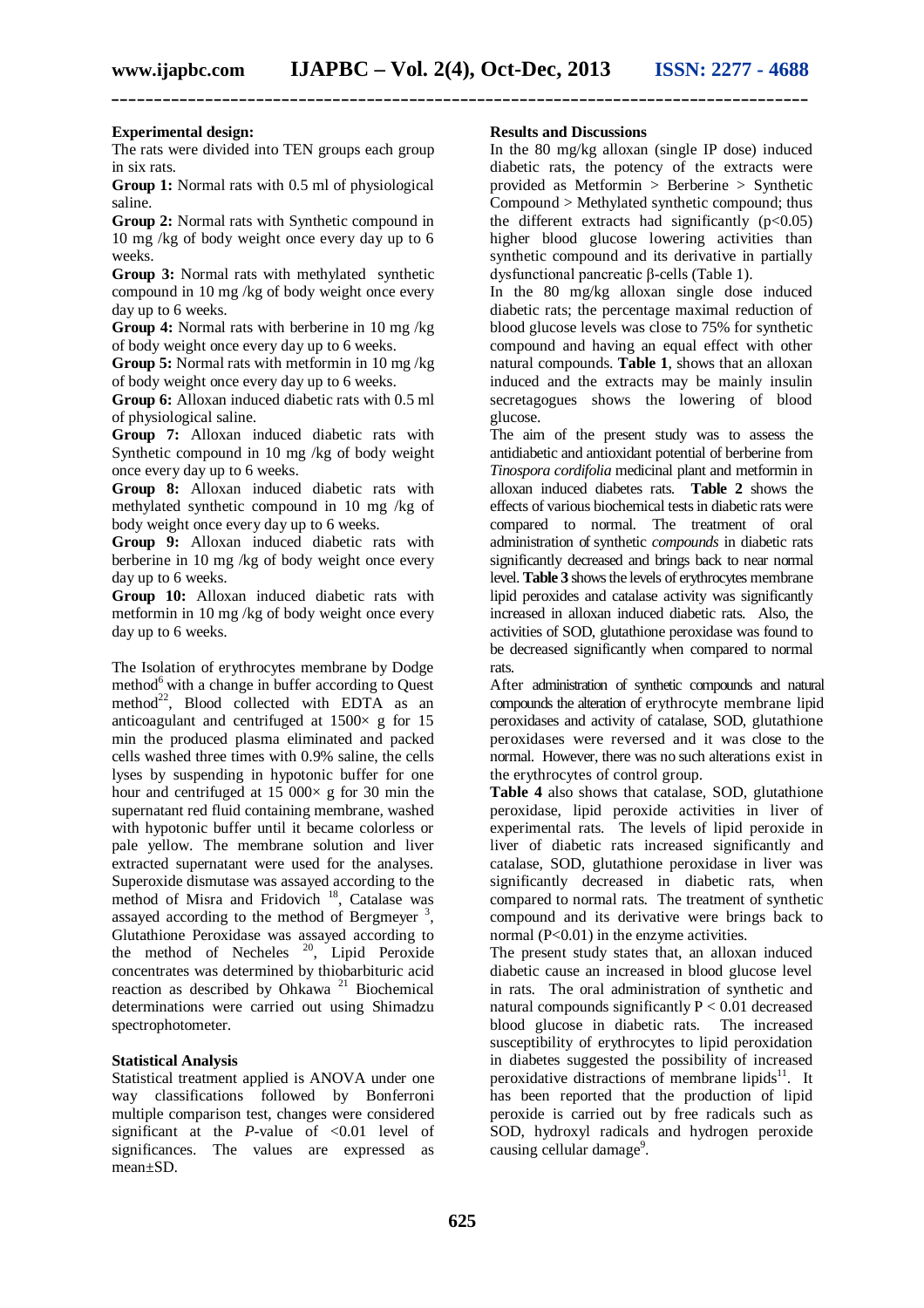#### **Experimental design:**

The rats were divided into TEN groups each group in six rats.

**Group 1:** Normal rats with 0.5 ml of physiological saline.

**Group 2:** Normal rats with Synthetic compound in 10 mg /kg of body weight once every day up to 6 weeks.

**Group 3:** Normal rats with methylated synthetic compound in 10 mg /kg of body weight once every day up to 6 weeks.

**Group 4:** Normal rats with berberine in 10 mg /kg of body weight once every day up to 6 weeks.

**Group 5:** Normal rats with metformin in 10 mg /kg of body weight once every day up to 6 weeks.

**Group 6:** Alloxan induced diabetic rats with 0.5 ml of physiological saline.

**Group 7:** Alloxan induced diabetic rats with Synthetic compound in 10 mg /kg of body weight once every day up to 6 weeks.

**Group 8:** Alloxan induced diabetic rats with methylated synthetic compound in 10 mg /kg of body weight once every day up to 6 weeks.

**Group 9:** Alloxan induced diabetic rats with berberine in 10 mg /kg of body weight once every day up to 6 weeks.

**Group 10:** Alloxan induced diabetic rats with metformin in 10 mg /kg of body weight once every day up to 6 weeks.

The Isolation of erythrocytes membrane by Dodge method $<sup>6</sup>$  with a change in buffer according to Quest</sup> method<sup>22</sup>, Blood collected with EDTA as an anticoagulant and centrifuged at  $1500 \times g$  for 15 min the produced plasma eliminated and packed cells washed three times with 0.9% saline, the cells lyses by suspending in hypotonic buffer for one hour and centrifuged at  $15\,000\times$  g for 30 min the supernatant red fluid containing membrane, washed with hypotonic buffer until it became colorless or pale yellow. The membrane solution and liver extracted supernatant were used for the analyses. Superoxide dismutase was assayed according to the method of Misra and Fridovich <sup>18</sup>, Catalase was assayed according to the method of Bergmeyer<sup>3</sup>, Glutathione Peroxidase was assayed according to the method of Necheles  $20$ , Lipid Peroxide concentrates was determined by thiobarbituric acid reaction as described by Ohkawa <sup>21</sup> Biochemical determinations were carried out using Shimadzu spectrophotometer.

#### **Statistical Analysis**

Statistical treatment applied is ANOVA under one way classifications followed by Bonferroni multiple comparison test, changes were considered significant at the *P*-value of  $\langle 0.01 \rangle$  level of significances. The values are expressed as mean±SD.

#### **Results and Discussions**

In the 80 mg/kg alloxan (single IP dose) induced diabetic rats, the potency of the extracts were provided as Metformin > Berberine > Synthetic Compound > Methylated synthetic compound; thus the different extracts had significantly  $(p<0.05)$ higher blood glucose lowering activities than synthetic compound and its derivative in partially dysfunctional pancreatic β-cells (Table 1).

In the 80 mg/kg alloxan single dose induced diabetic rats; the percentage maximal reduction of blood glucose levels was close to 75% for synthetic compound and having an equal effect with other natural compounds. **Table 1**, shows that an alloxan induced and the extracts may be mainly insulin secretagogues shows the lowering of blood glucose.

The aim of the present study was to assess the antidiabetic and antioxidant potential of berberine from *Tinospora cordifolia* medicinal plant and metformin in alloxan induced diabetes rats. **Table 2** shows the effects of various biochemical tests in diabetic rats were compared to normal. The treatment of oral administration of synthetic *compounds* in diabetic rats significantly decreased and brings back to near normal level. **Table 3** shows the levels of erythrocytes membrane lipid peroxides and catalase activity was significantly increased in alloxan induced diabetic rats. Also, the activities of SOD, glutathione peroxidase was found to be decreased significantly when compared to normal rats.

After administration of synthetic compounds and natural compounds the alteration of erythrocyte membrane lipid peroxidases and activity of catalase, SOD, glutathione peroxidases were reversed and it was close to the normal. However, there was no such alterations exist in the erythrocytes of control group.

**Table 4** also shows that catalase, SOD, glutathione peroxidase, lipid peroxide activities in liver of experimental rats. The levels of lipid peroxide in liver of diabetic rats increased significantly and catalase, SOD, glutathione peroxidase in liver was significantly decreased in diabetic rats, when compared to normal rats. The treatment of synthetic compound and its derivative were brings back to normal (P<0.01) in the enzyme activities.

The present study states that, an alloxan induced diabetic cause an increased in blood glucose level in rats. The oral administration of synthetic and natural compounds significantly  $P < 0.01$  decreased blood glucose in diabetic rats. The increased susceptibility of erythrocytes to lipid peroxidation in diabetes suggested the possibility of increased peroxidative distractions of membrane lipids $11$ . It has been reported that the production of lipid peroxide is carried out by free radicals such as SOD, hydroxyl radicals and hydrogen peroxide causing cellular damage<sup>9</sup>.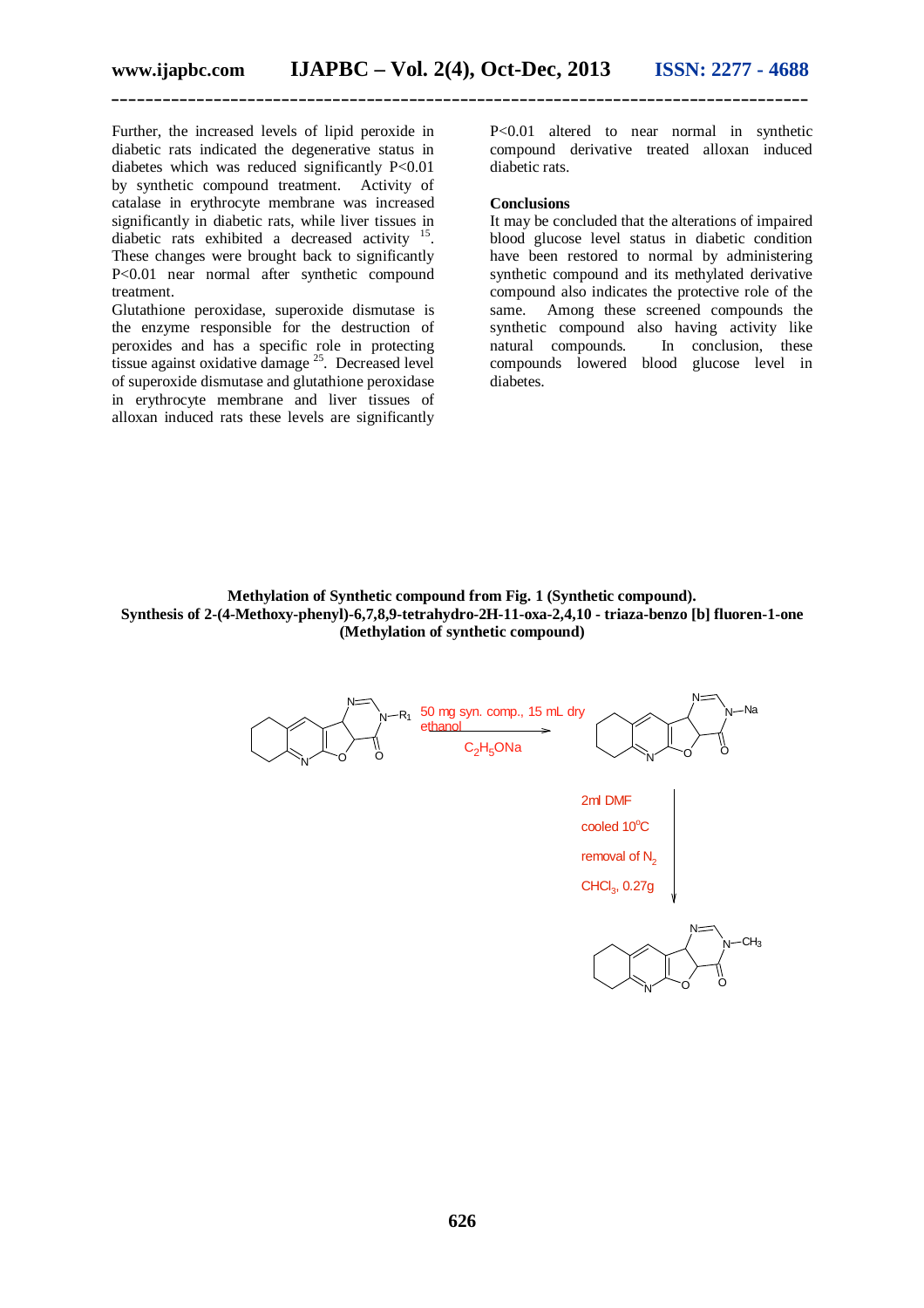Further, the increased levels of lipid peroxide in diabetic rats indicated the degenerative status in diabetes which was reduced significantly P<0.01 by synthetic compound treatment. Activity of catalase in erythrocyte membrane was increased significantly in diabetic rats, while liver tissues in diabetic rats exhibited a decreased activity  $15$ . These changes were brought back to significantly P<0.01 near normal after synthetic compound treatment.

Glutathione peroxidase, superoxide dismutase is the enzyme responsible for the destruction of peroxides and has a specific role in protecting tissue against oxidative damage <sup>25</sup>. Decreased level of superoxide dismutase and glutathione peroxidase in erythrocyte membrane and liver tissues of alloxan induced rats these levels are significantly

P<0.01 altered to near normal in synthetic compound derivative treated alloxan induced diabetic rats.

#### **Conclusions**

It may be concluded that the alterations of impaired blood glucose level status in diabetic condition have been restored to normal by administering synthetic compound and its methylated derivative compound also indicates the protective role of the same. Among these screened compounds the synthetic compound also having activity like natural compounds. In conclusion, these compounds lowered blood glucose level in diabetes.

**Methylation of Synthetic compound from Fig. 1 (Synthetic compound). Synthesis of 2-(4-Methoxy-phenyl)-6,7,8,9-tetrahydro-2H-11-oxa-2,4,10 - triaza-benzo [b] fluoren-1-one (Methylation of synthetic compound)**

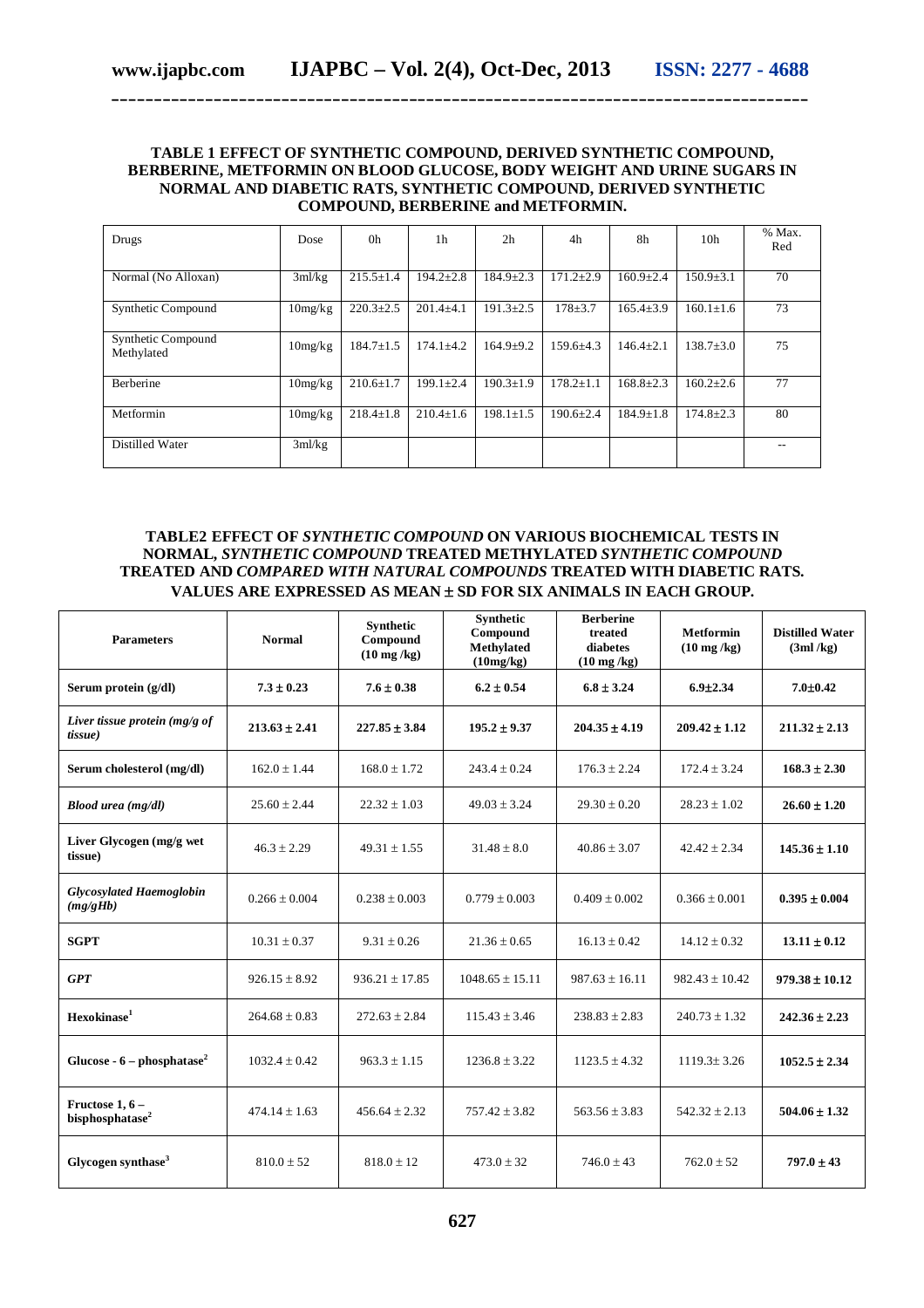#### **TABLE 1 EFFECT OF SYNTHETIC COMPOUND, DERIVED SYNTHETIC COMPOUND, BERBERINE, METFORMIN ON BLOOD GLUCOSE, BODY WEIGHT AND URINE SUGARS IN NORMAL AND DIABETIC RATS, SYNTHETIC COMPOUND, DERIVED SYNTHETIC COMPOUND, BERBERINE and METFORMIN.**

**\_\_\_\_\_\_\_\_\_\_\_\_\_\_\_\_\_\_\_\_\_\_\_\_\_\_\_\_\_\_\_\_\_\_\_\_\_\_\_\_\_\_\_\_\_\_\_\_\_\_\_\_\_\_\_\_\_\_\_\_\_\_\_\_\_\_\_\_\_\_\_\_\_\_\_\_\_\_\_\_\_\_**

| Drugs                            | Dose    | 0 <sub>h</sub>  | 1 <sub>h</sub>  | 2 <sub>h</sub>  | 4h              | 8h              | 10 <sub>h</sub> | % Max.<br>Red |
|----------------------------------|---------|-----------------|-----------------|-----------------|-----------------|-----------------|-----------------|---------------|
| Normal (No Alloxan)              | 3ml/kg  | $215.5 \pm 1.4$ | $194.2 \pm 2.8$ | $184.9 \pm 2.3$ | $171.2 \pm 2.9$ | $160.9 \pm 2.4$ | $150.9 + 3.1$   | 70            |
| Synthetic Compound               | 10mg/kg | $220.3 \pm 2.5$ | $201.4 + 4.1$   | $191.3 \pm 2.5$ | $178 + 3.7$     | $165.4 \pm 3.9$ | $160.1 \pm 1.6$ | 73            |
| Synthetic Compound<br>Methylated | 10mg/kg | $184.7 \pm 1.5$ | $174.1 \pm 4.2$ | $164.9 \pm 9.2$ | $159.6 \pm 4.3$ | $146.4 + 2.1$   | $138.7 \pm 3.0$ | 75            |
| Berberine                        | 10mg/kg | $210.6 \pm 1.7$ | $199.1 \pm 2.4$ | $190.3 \pm 1.9$ | $178.2 \pm 1.1$ | $168.8 \pm 2.3$ | $160.2{\pm}2.6$ | 77            |
| Metformin                        | 10mg/kg | $218.4 \pm 1.8$ | $210.4+1.6$     | $198.1 + 1.5$   | $190.6 \pm 2.4$ | $184.9 \pm 1.8$ | $174.8 + 2.3$   | 80            |
| Distilled Water                  | 3ml/kg  |                 |                 |                 |                 |                 |                 |               |

### **TABLE2 EFFECT OF** *SYNTHETIC COMPOUND* **ON VARIOUS BIOCHEMICAL TESTS IN NORMAL,** *SYNTHETIC COMPOUND* **TREATED METHYLATED** *SYNTHETIC COMPOUND* **TREATED AND** *COMPARED WITH NATURAL COMPOUNDS* **TREATED WITH DIABETIC RATS.**  VALUES ARE EXPRESSED AS MEAN  $\pm$  SD FOR SIX ANIMALS IN EACH GROUP.

| <b>Parameters</b>                                | <b>Normal</b>     | <b>Synthetic</b><br>Compound<br>$(10 \text{ mg/kg})$ | <b>Synthetic</b><br>Compound<br><b>Methylated</b><br>(10mg/kg) | <b>Berberine</b><br>treated<br>diabetes<br>$(10 \text{ mg/kg})$ | <b>Metformin</b><br>$(10 \text{ mg/kg})$ | <b>Distilled Water</b><br>(3ml/kg) |
|--------------------------------------------------|-------------------|------------------------------------------------------|----------------------------------------------------------------|-----------------------------------------------------------------|------------------------------------------|------------------------------------|
| Serum protein (g/dl)                             | $7.3 \pm 0.23$    | $7.6 \pm 0.38$                                       | $6.2 \pm 0.54$                                                 | $6.8 \pm 3.24$                                                  | $6.9 \pm 2.34$                           | $7.0 \pm 0.42$                     |
| Liver tissue protein ( $mg/g$ of<br>tissue)      | $213.63 \pm 2.41$ | $227.85 \pm 3.84$                                    | $195.2 \pm 9.37$                                               | $204.35 \pm 4.19$                                               | $209.42 \pm 1.12$                        | $211.32 \pm 2.13$                  |
| Serum cholesterol (mg/dl)                        | $162.0 \pm 1.44$  | $168.0 \pm 1.72$                                     | $243.4 \pm 0.24$                                               | $176.3 \pm 2.24$                                                | $172.4 \pm 3.24$                         | $168.3 \pm 2.30$                   |
| Blood urea (mg/dl)                               | $25.60 \pm 2.44$  | $22.32 \pm 1.03$                                     | $49.03 \pm 3.24$                                               | $29.30 \pm 0.20$                                                | $28.23 \pm 1.02$                         | $26.60 \pm 1.20$                   |
| Liver Glycogen (mg/g wet<br>tissue)              | $46.3 \pm 2.29$   | $49.31 \pm 1.55$                                     | $31.48 \pm 8.0$                                                | $40.86 + 3.07$                                                  | $42.42 + 2.34$                           | $145.36 \pm 1.10$                  |
| <b>Glycosylated Haemoglobin</b><br>(mg/gHb)      | $0.266 \pm 0.004$ | $0.238 \pm 0.003$                                    | $0.779 \pm 0.003$                                              | $0.409 \pm 0.002$                                               | $0.366 \pm 0.001$                        | $0.395 \pm 0.004$                  |
| <b>SGPT</b>                                      | $10.31\pm0.37$    | $9.31 \pm 0.26$                                      | $21.36 \pm 0.65$                                               | $16.13 \pm 0.42$                                                | $14.12 \pm 0.32$                         | $13.11 \pm 0.12$                   |
| <b>GPT</b>                                       | $926.15 \pm 8.92$ | $936.21 \pm 17.85$                                   | $1048.65 \pm 15.11$                                            | $987.63 + 16.11$                                                | $982.43 + 10.42$                         | $979.38 \pm 10.12$                 |
| Hexokinase <sup>1</sup>                          | $264.68 \pm 0.83$ | $272.63 \pm 2.84$                                    | $115.43 \pm 3.46$                                              | $238.83 \pm 2.83$                                               | $240.73 \pm 1.32$                        | $242.36 \pm 2.23$                  |
| Glucose - $6$ – phosphatase <sup>2</sup>         | $1032.4 \pm 0.42$ | $963.3 \pm 1.15$                                     | $1236.8 \pm 3.22$                                              | $1123.5 \pm 4.32$                                               | $1119.3 \pm 3.26$                        | $1052.5 \pm 2.34$                  |
| Fructose $1, 6$ –<br>bisphosphatase <sup>2</sup> | $474.14 \pm 1.63$ | $456.64 \pm 2.32$                                    | $757.42 \pm 3.82$                                              | $563.56 + 3.83$                                                 | $542.32 \pm 2.13$                        | $504.06 \pm 1.32$                  |
| Glycogen synthase <sup>3</sup>                   | $810.0 \pm 52$    | $818.0 \pm 12$                                       | $473.0 \pm 32$                                                 | $746.0 + 43$                                                    | $762.0 \pm 52$                           | $797.0 \pm 43$                     |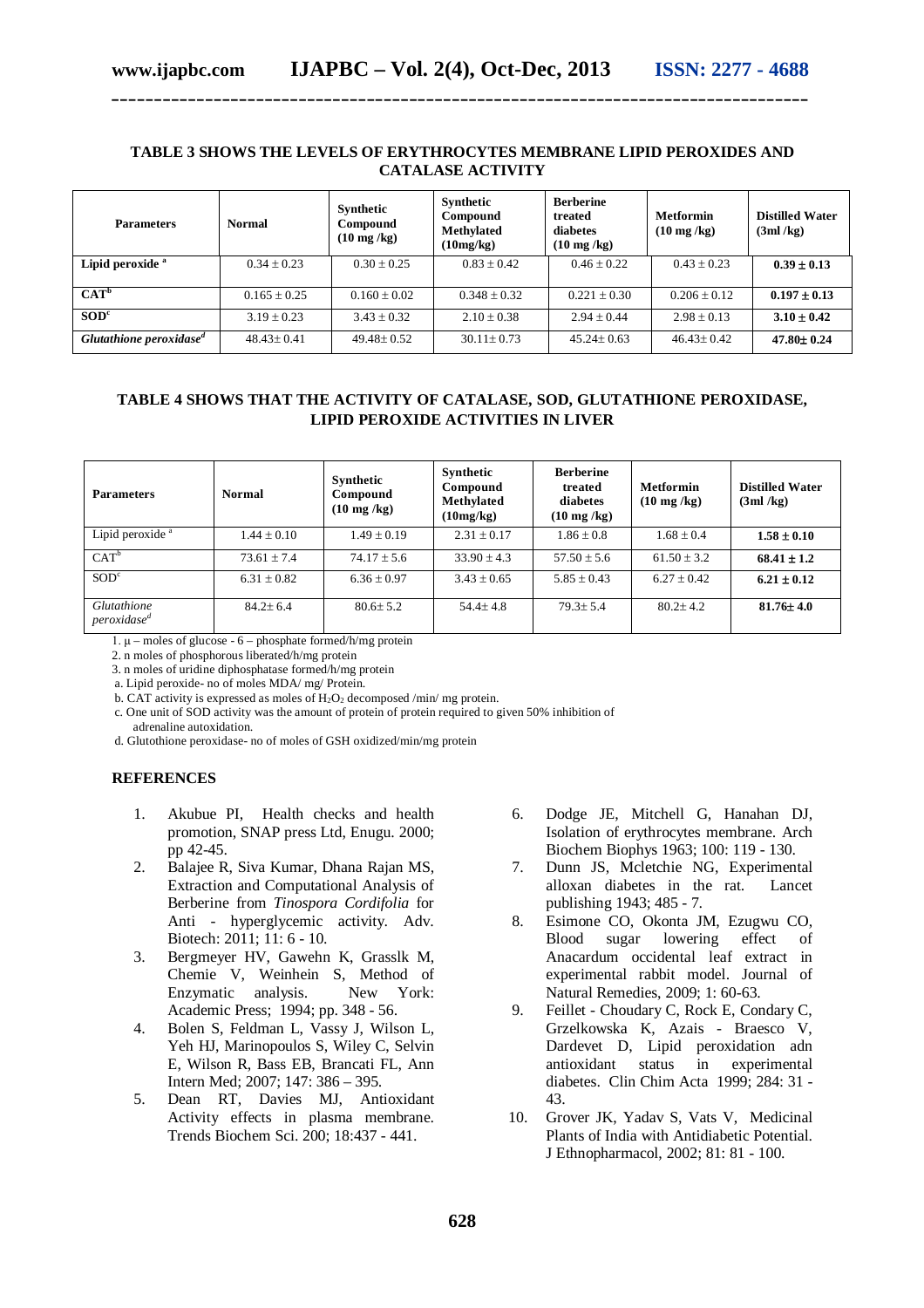#### **TABLE 3 SHOWS THE LEVELS OF ERYTHROCYTES MEMBRANE LIPID PEROXIDES AND CATALASE ACTIVITY**

**\_\_\_\_\_\_\_\_\_\_\_\_\_\_\_\_\_\_\_\_\_\_\_\_\_\_\_\_\_\_\_\_\_\_\_\_\_\_\_\_\_\_\_\_\_\_\_\_\_\_\_\_\_\_\_\_\_\_\_\_\_\_\_\_\_\_\_\_\_\_\_\_\_\_\_\_\_\_\_\_\_\_**

| <b>Parameters</b>                   | <b>Normal</b>    | <b>Synthetic</b><br>Compound<br>$(10 \text{ mg/kg})$ | Synthetic<br>Compound<br><b>Methylated</b><br>(10mg/kg) | <b>Berberine</b><br>treated<br>diabetes<br>$(10 \text{ mg/kg})$ | Metformin<br>$(10 \text{ mg/kg})$ | <b>Distilled Water</b><br>(3ml/kg) |
|-------------------------------------|------------------|------------------------------------------------------|---------------------------------------------------------|-----------------------------------------------------------------|-----------------------------------|------------------------------------|
| Lipid peroxide <sup>a</sup>         | $0.34 + 0.23$    | $0.30 \pm 0.25$                                      | $0.83 \pm 0.42$                                         | $0.46 \pm 0.22$                                                 | $0.43 + 0.23$                     | $0.39 \pm 0.13$                    |
| $CAT^b$                             | $0.165 \pm 0.25$ | $0.160 + 0.02$                                       | $0.348 + 0.32$                                          | $0.221 + 0.30$                                                  | $0.206 \pm 0.12$                  | $0.197 \pm 0.13$                   |
| SOD <sup>c</sup>                    | $3.19 \pm 0.23$  | $3.43 \pm 0.32$                                      | $2.10 \pm 0.38$                                         | $2.94 + 0.44$                                                   | $2.98 + 0.13$                     | $3.10 \pm 0.42$                    |
| Glutathione peroxidase <sup>d</sup> | $48.43 \pm 0.41$ | $49.48 \pm 0.52$                                     | $30.11 \pm 0.73$                                        | $45.24 \pm 0.63$                                                | $46.43 \pm 0.42$                  | $47.80 \pm 0.24$                   |

# **TABLE 4 SHOWS THAT THE ACTIVITY OF CATALASE, SOD, GLUTATHIONE PEROXIDASE, LIPID PEROXIDE ACTIVITIES IN LIVER**

| <b>Parameters</b>                      | <b>Normal</b>   | Synthetic<br>Compound<br>$(10 \text{ mg/kg})$ | Synthetic<br>Compound<br>Methylated<br>(10mg/kg) | <b>Berberine</b><br>treated<br>diabetes<br>$(10 \text{ mg/kg})$ | Metformin<br>$(10 \text{ mg/kg})$ | <b>Distilled Water</b><br>(3ml/kg) |
|----------------------------------------|-----------------|-----------------------------------------------|--------------------------------------------------|-----------------------------------------------------------------|-----------------------------------|------------------------------------|
| Lipid peroxide <sup>a</sup>            | $1.44 \pm 0.10$ | $1.49 + 0.19$                                 | $2.31 + 0.17$                                    | $1.86 \pm 0.8$                                                  | $1.68 \pm 0.4$                    | $1.58 \pm 0.10$                    |
| $CAT^b$                                | $73.61 \pm 7.4$ | $74.17 \pm 5.6$                               | $33.90 \pm 4.3$                                  | $57.50 \pm 5.6$                                                 | $61.50 + 3.2$                     | $68.41 \pm 1.2$                    |
| SOD <sup>c</sup>                       | $6.31 \pm 0.82$ | $6.36 \pm 0.97$                               | $3.43 \pm 0.65$                                  | $5.85 \pm 0.43$                                                 | $6.27 \pm 0.42$                   | $6.21 \pm 0.12$                    |
| Glutathione<br>peroxidase <sup>d</sup> | $84.2 \pm 6.4$  | $80.6 + 5.2$                                  | $54.4 + 4.8$                                     | $79.3 + 5.4$                                                    | $80.2 + 4.2$                      | $81.76 \pm 4.0$                    |

1. μ – moles of glucose - 6 – phosphate formed/h/mg protein

2. n moles of phosphorous liberated/h/mg protein

3. n moles of uridine diphosphatase formed/h/mg protein

a. Lipid peroxide- no of moles MDA/ mg/ Protein.

b. CAT activity is expressed as moles of  $H_2O_2$  decomposed /min/ mg protein.

c. One unit of SOD activity was the amount of protein of protein required to given 50% inhibition of adrenaline autoxidation.

d. Glutothione peroxidase- no of moles of GSH oxidized/min/mg protein

# **REFERENCES**

- 1. Akubue PI, Health checks and health promotion, SNAP press Ltd, Enugu. 2000; pp 42-45.
- 2. Balajee R, Siva Kumar, Dhana Rajan MS, Extraction and Computational Analysis of Berberine from *Tinospora Cordifolia* for Anti - hyperglycemic activity. Adv. Biotech: 2011; 11: 6 - 10.
- 3. Bergmeyer HV, Gawehn K, Grasslk M, Chemie V, Weinhein S, Method of Enzymatic analysis. New York: Academic Press; 1994; pp. 348 - 56.
- 4. Bolen S, Feldman L, Vassy J, Wilson L, Yeh HJ, Marinopoulos S, Wiley C, Selvin E, Wilson R, Bass EB, Brancati FL, Ann Intern Med; 2007; 147: 386 – 395.
- 5. Dean RT, Davies MJ, Antioxidant Activity effects in plasma membrane. Trends Biochem Sci. 200; 18:437 - 441.
- 6. Dodge JE, Mitchell G, Hanahan DJ, Isolation of erythrocytes membrane. Arch Biochem Biophys 1963; 100: 119 - 130.
- 7. Dunn JS, Mcletchie NG, Experimental alloxan diabetes in the rat. Lancet publishing 1943; 485 - 7.
- 8. Esimone CO, Okonta JM, Ezugwu CO, Blood sugar lowering effect of Anacardum occidental leaf extract in experimental rabbit model. Journal of Natural Remedies, 2009; 1: 60-63.
- 9. Feillet Choudary C, Rock E, Condary C, Grzelkowska K, Azais - Braesco V, Dardevet D, Lipid peroxidation adn antioxidant status in experimental diabetes. Clin Chim Acta 1999; 284: 31 - 43.
- 10. Grover JK, Yadav S, Vats V, Medicinal Plants of India with Antidiabetic Potential. J Ethnopharmacol, 2002; 81: 81 - 100.